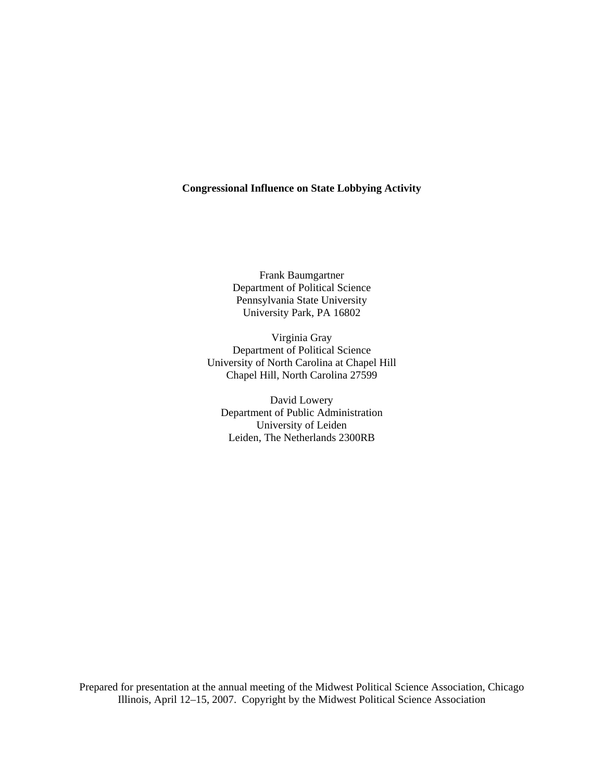# **Congressional Influence on State Lobbying Activity**

Frank Baumgartner Department of Political Science Pennsylvania State University University Park, PA 16802

Virginia Gray Department of Political Science University of North Carolina at Chapel Hill Chapel Hill, North Carolina 27599

David Lowery Department of Public Administration University of Leiden Leiden, The Netherlands 2300RB

Prepared for presentation at the annual meeting of the Midwest Political Science Association, Chicago Illinois, April 12–15, 2007. Copyright by the Midwest Political Science Association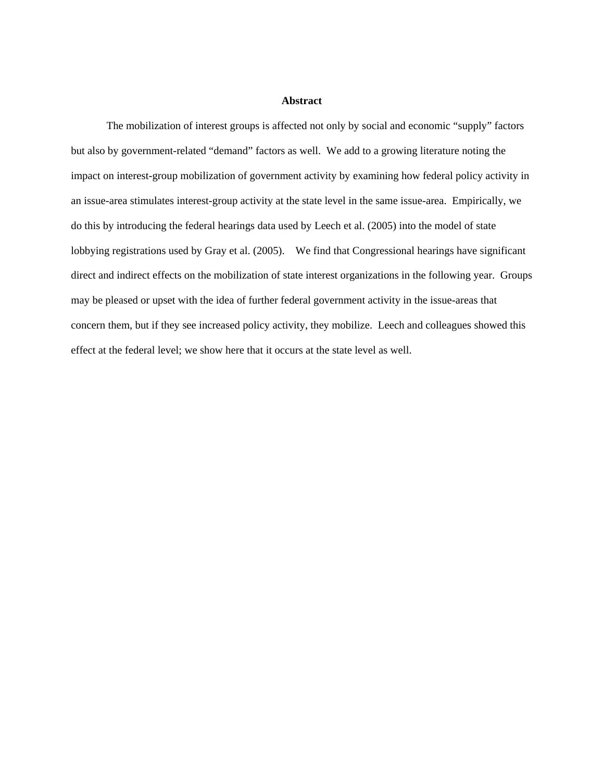# **Abstract**

 The mobilization of interest groups is affected not only by social and economic "supply" factors but also by government-related "demand" factors as well. We add to a growing literature noting the impact on interest-group mobilization of government activity by examining how federal policy activity in an issue-area stimulates interest-group activity at the state level in the same issue-area. Empirically, we do this by introducing the federal hearings data used by Leech et al. (2005) into the model of state lobbying registrations used by Gray et al. (2005). We find that Congressional hearings have significant direct and indirect effects on the mobilization of state interest organizations in the following year. Groups may be pleased or upset with the idea of further federal government activity in the issue-areas that concern them, but if they see increased policy activity, they mobilize. Leech and colleagues showed this effect at the federal level; we show here that it occurs at the state level as well.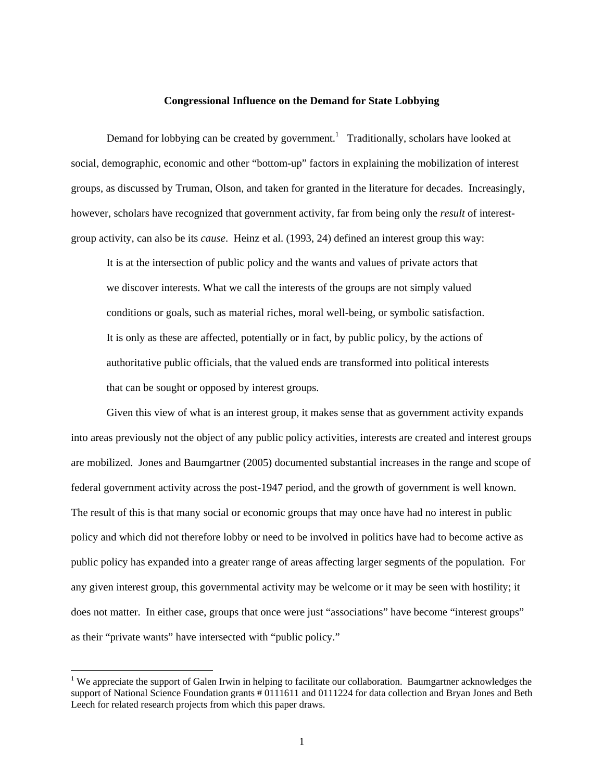### **Congressional Influence on the Demand for State Lobbying**

Demand for lobbying can be created by government.<sup>1</sup> Traditionally, scholars have looked at social, demographic, economic and other "bottom-up" factors in explaining the mobilization of interest groups, as discussed by Truman, Olson, and taken for granted in the literature for decades. Increasingly, however, scholars have recognized that government activity, far from being only the *result* of interestgroup activity, can also be its *cause*. Heinz et al. (1993, 24) defined an interest group this way:

It is at the intersection of public policy and the wants and values of private actors that we discover interests. What we call the interests of the groups are not simply valued conditions or goals, such as material riches, moral well-being, or symbolic satisfaction. It is only as these are affected, potentially or in fact, by public policy, by the actions of authoritative public officials, that the valued ends are transformed into political interests that can be sought or opposed by interest groups.

Given this view of what is an interest group, it makes sense that as government activity expands into areas previously not the object of any public policy activities, interests are created and interest groups are mobilized. Jones and Baumgartner (2005) documented substantial increases in the range and scope of federal government activity across the post-1947 period, and the growth of government is well known. The result of this is that many social or economic groups that may once have had no interest in public policy and which did not therefore lobby or need to be involved in politics have had to become active as public policy has expanded into a greater range of areas affecting larger segments of the population. For any given interest group, this governmental activity may be welcome or it may be seen with hostility; it does not matter. In either case, groups that once were just "associations" have become "interest groups" as their "private wants" have intersected with "public policy."

<sup>&</sup>lt;sup>1</sup> We appreciate the support of Galen Irwin in helping to facilitate our collaboration. Baumgartner acknowledges the support of National Science Foundation grants # 0111611 and 0111224 for data collection and Bryan Jones and Beth Leech for related research projects from which this paper draws.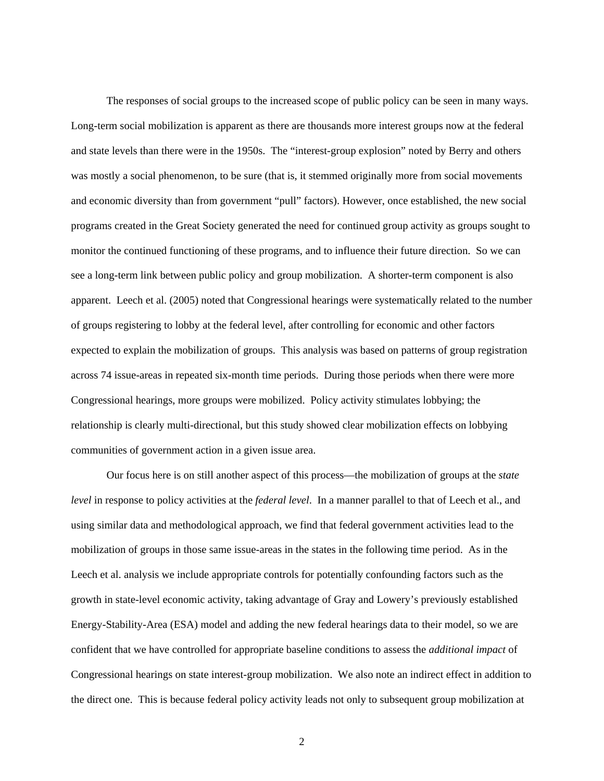The responses of social groups to the increased scope of public policy can be seen in many ways. Long-term social mobilization is apparent as there are thousands more interest groups now at the federal and state levels than there were in the 1950s. The "interest-group explosion" noted by Berry and others was mostly a social phenomenon, to be sure (that is, it stemmed originally more from social movements and economic diversity than from government "pull" factors). However, once established, the new social programs created in the Great Society generated the need for continued group activity as groups sought to monitor the continued functioning of these programs, and to influence their future direction. So we can see a long-term link between public policy and group mobilization. A shorter-term component is also apparent. Leech et al. (2005) noted that Congressional hearings were systematically related to the number of groups registering to lobby at the federal level, after controlling for economic and other factors expected to explain the mobilization of groups. This analysis was based on patterns of group registration across 74 issue-areas in repeated six-month time periods. During those periods when there were more Congressional hearings, more groups were mobilized. Policy activity stimulates lobbying; the relationship is clearly multi-directional, but this study showed clear mobilization effects on lobbying communities of government action in a given issue area.

Our focus here is on still another aspect of this process—the mobilization of groups at the *state level* in response to policy activities at the *federal level*. In a manner parallel to that of Leech et al., and using similar data and methodological approach, we find that federal government activities lead to the mobilization of groups in those same issue-areas in the states in the following time period. As in the Leech et al. analysis we include appropriate controls for potentially confounding factors such as the growth in state-level economic activity, taking advantage of Gray and Lowery's previously established Energy-Stability-Area (ESA) model and adding the new federal hearings data to their model, so we are confident that we have controlled for appropriate baseline conditions to assess the *additional impact* of Congressional hearings on state interest-group mobilization. We also note an indirect effect in addition to the direct one. This is because federal policy activity leads not only to subsequent group mobilization at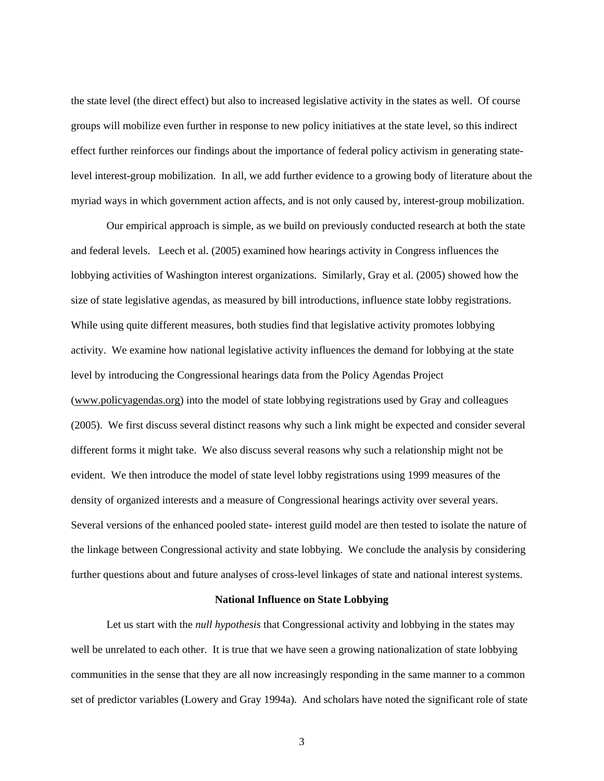the state level (the direct effect) but also to increased legislative activity in the states as well. Of course groups will mobilize even further in response to new policy initiatives at the state level, so this indirect effect further reinforces our findings about the importance of federal policy activism in generating statelevel interest-group mobilization. In all, we add further evidence to a growing body of literature about the myriad ways in which government action affects, and is not only caused by, interest-group mobilization.

Our empirical approach is simple, as we build on previously conducted research at both the state and federal levels. Leech et al. (2005) examined how hearings activity in Congress influences the lobbying activities of Washington interest organizations. Similarly, Gray et al. (2005) showed how the size of state legislative agendas, as measured by bill introductions, influence state lobby registrations. While using quite different measures, both studies find that legislative activity promotes lobbying activity. We examine how national legislative activity influences the demand for lobbying at the state level by introducing the Congressional hearings data from the Policy Agendas Project (www.policyagendas.org) into the model of state lobbying registrations used by Gray and colleagues (2005). We first discuss several distinct reasons why such a link might be expected and consider several different forms it might take. We also discuss several reasons why such a relationship might not be evident. We then introduce the model of state level lobby registrations using 1999 measures of the density of organized interests and a measure of Congressional hearings activity over several years. Several versions of the enhanced pooled state- interest guild model are then tested to isolate the nature of the linkage between Congressional activity and state lobbying. We conclude the analysis by considering further questions about and future analyses of cross-level linkages of state and national interest systems.

#### **National Influence on State Lobbying**

 Let us start with the *null hypothesis* that Congressional activity and lobbying in the states may well be unrelated to each other. It is true that we have seen a growing nationalization of state lobbying communities in the sense that they are all now increasingly responding in the same manner to a common set of predictor variables (Lowery and Gray 1994a). And scholars have noted the significant role of state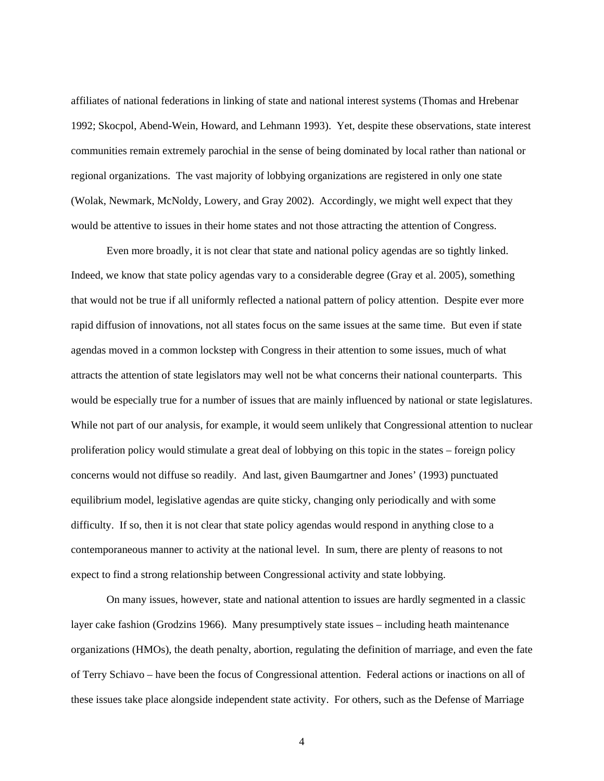affiliates of national federations in linking of state and national interest systems (Thomas and Hrebenar 1992; Skocpol, Abend-Wein, Howard, and Lehmann 1993). Yet, despite these observations, state interest communities remain extremely parochial in the sense of being dominated by local rather than national or regional organizations. The vast majority of lobbying organizations are registered in only one state (Wolak, Newmark, McNoldy, Lowery, and Gray 2002). Accordingly, we might well expect that they would be attentive to issues in their home states and not those attracting the attention of Congress.

Even more broadly, it is not clear that state and national policy agendas are so tightly linked. Indeed, we know that state policy agendas vary to a considerable degree (Gray et al. 2005), something that would not be true if all uniformly reflected a national pattern of policy attention. Despite ever more rapid diffusion of innovations, not all states focus on the same issues at the same time. But even if state agendas moved in a common lockstep with Congress in their attention to some issues, much of what attracts the attention of state legislators may well not be what concerns their national counterparts. This would be especially true for a number of issues that are mainly influenced by national or state legislatures. While not part of our analysis, for example, it would seem unlikely that Congressional attention to nuclear proliferation policy would stimulate a great deal of lobbying on this topic in the states – foreign policy concerns would not diffuse so readily. And last, given Baumgartner and Jones' (1993) punctuated equilibrium model, legislative agendas are quite sticky, changing only periodically and with some difficulty. If so, then it is not clear that state policy agendas would respond in anything close to a contemporaneous manner to activity at the national level. In sum, there are plenty of reasons to not expect to find a strong relationship between Congressional activity and state lobbying.

 On many issues, however, state and national attention to issues are hardly segmented in a classic layer cake fashion (Grodzins 1966). Many presumptively state issues – including heath maintenance organizations (HMOs), the death penalty, abortion, regulating the definition of marriage, and even the fate of Terry Schiavo – have been the focus of Congressional attention. Federal actions or inactions on all of these issues take place alongside independent state activity. For others, such as the Defense of Marriage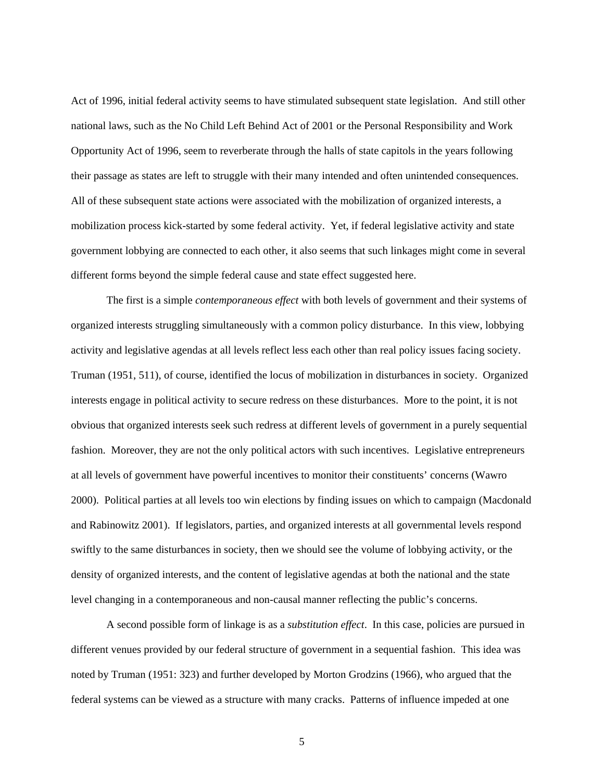Act of 1996, initial federal activity seems to have stimulated subsequent state legislation. And still other national laws, such as the No Child Left Behind Act of 2001 or the Personal Responsibility and Work Opportunity Act of 1996, seem to reverberate through the halls of state capitols in the years following their passage as states are left to struggle with their many intended and often unintended consequences. All of these subsequent state actions were associated with the mobilization of organized interests, a mobilization process kick-started by some federal activity. Yet, if federal legislative activity and state government lobbying are connected to each other, it also seems that such linkages might come in several different forms beyond the simple federal cause and state effect suggested here.

The first is a simple *contemporaneous effect* with both levels of government and their systems of organized interests struggling simultaneously with a common policy disturbance. In this view, lobbying activity and legislative agendas at all levels reflect less each other than real policy issues facing society. Truman (1951, 511), of course, identified the locus of mobilization in disturbances in society. Organized interests engage in political activity to secure redress on these disturbances. More to the point, it is not obvious that organized interests seek such redress at different levels of government in a purely sequential fashion. Moreover, they are not the only political actors with such incentives. Legislative entrepreneurs at all levels of government have powerful incentives to monitor their constituents' concerns (Wawro 2000). Political parties at all levels too win elections by finding issues on which to campaign (Macdonald and Rabinowitz 2001). If legislators, parties, and organized interests at all governmental levels respond swiftly to the same disturbances in society, then we should see the volume of lobbying activity, or the density of organized interests, and the content of legislative agendas at both the national and the state level changing in a contemporaneous and non-causal manner reflecting the public's concerns.

A second possible form of linkage is as a *substitution effect*. In this case, policies are pursued in different venues provided by our federal structure of government in a sequential fashion. This idea was noted by Truman (1951: 323) and further developed by Morton Grodzins (1966), who argued that the federal systems can be viewed as a structure with many cracks. Patterns of influence impeded at one

5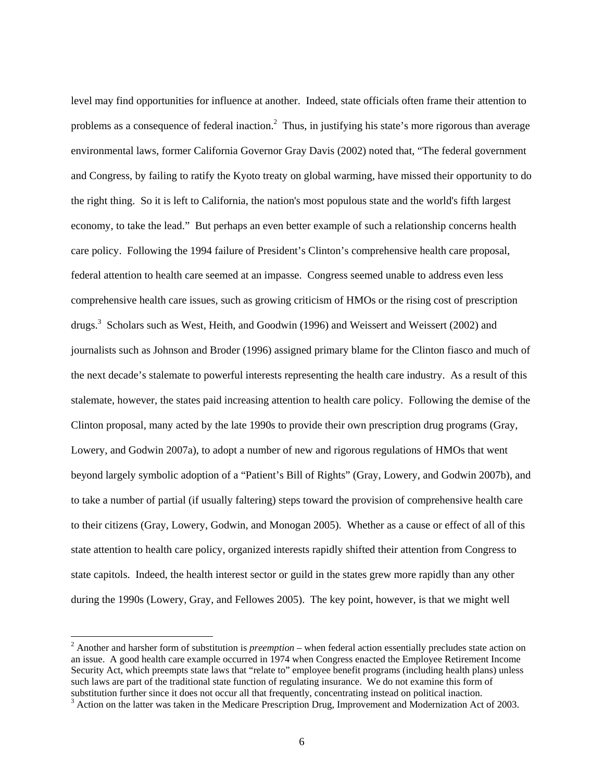level may find opportunities for influence at another. Indeed, state officials often frame their attention to problems as a consequence of federal inaction.<sup>2</sup> Thus, in justifying his state's more rigorous than average environmental laws, former California Governor Gray Davis (2002) noted that, "The federal government and Congress, by failing to ratify the Kyoto treaty on global warming, have missed their opportunity to do the right thing. So it is left to California, the nation's most populous state and the world's fifth largest economy, to take the lead." But perhaps an even better example of such a relationship concerns health care policy. Following the 1994 failure of President's Clinton's comprehensive health care proposal, federal attention to health care seemed at an impasse. Congress seemed unable to address even less comprehensive health care issues, such as growing criticism of HMOs or the rising cost of prescription drugs.<sup>3</sup> Scholars such as West, Heith, and Goodwin (1996) and Weissert and Weissert (2002) and journalists such as Johnson and Broder (1996) assigned primary blame for the Clinton fiasco and much of the next decade's stalemate to powerful interests representing the health care industry. As a result of this stalemate, however, the states paid increasing attention to health care policy. Following the demise of the Clinton proposal, many acted by the late 1990s to provide their own prescription drug programs (Gray, Lowery, and Godwin 2007a), to adopt a number of new and rigorous regulations of HMOs that went beyond largely symbolic adoption of a "Patient's Bill of Rights" (Gray, Lowery, and Godwin 2007b), and to take a number of partial (if usually faltering) steps toward the provision of comprehensive health care to their citizens (Gray, Lowery, Godwin, and Monogan 2005). Whether as a cause or effect of all of this state attention to health care policy, organized interests rapidly shifted their attention from Congress to state capitols. Indeed, the health interest sector or guild in the states grew more rapidly than any other during the 1990s (Lowery, Gray, and Fellowes 2005). The key point, however, is that we might well

<sup>2</sup> Another and harsher form of substitution is *preemption* – when federal action essentially precludes state action on an issue. A good health care example occurred in 1974 when Congress enacted the Employee Retirement Income Security Act, which preempts state laws that "relate to" employee benefit programs (including health plans) unless such laws are part of the traditional state function of regulating insurance. We do not examine this form of substitution further since it does not occur all that frequently, concentrating instead on political inaction.

 $3$  Action on the latter was taken in the Medicare Prescription Drug, Improvement and Modernization Act of 2003.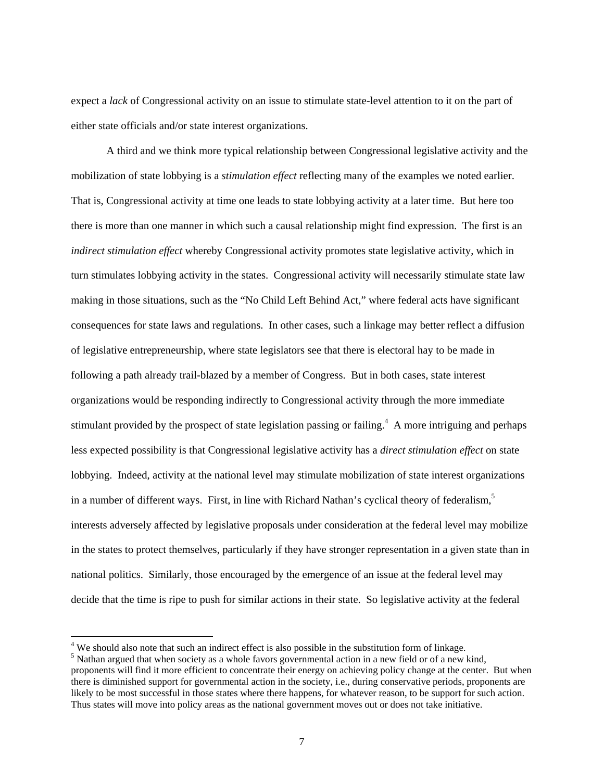expect a *lack* of Congressional activity on an issue to stimulate state-level attention to it on the part of either state officials and/or state interest organizations.

 A third and we think more typical relationship between Congressional legislative activity and the mobilization of state lobbying is a *stimulation effect* reflecting many of the examples we noted earlier. That is, Congressional activity at time one leads to state lobbying activity at a later time. But here too there is more than one manner in which such a causal relationship might find expression. The first is an *indirect stimulation effect* whereby Congressional activity promotes state legislative activity, which in turn stimulates lobbying activity in the states. Congressional activity will necessarily stimulate state law making in those situations, such as the "No Child Left Behind Act," where federal acts have significant consequences for state laws and regulations. In other cases, such a linkage may better reflect a diffusion of legislative entrepreneurship, where state legislators see that there is electoral hay to be made in following a path already trail-blazed by a member of Congress. But in both cases, state interest organizations would be responding indirectly to Congressional activity through the more immediate stimulant provided by the prospect of state legislation passing or failing.<sup>4</sup> A more intriguing and perhaps less expected possibility is that Congressional legislative activity has a *direct stimulation effect* on state lobbying. Indeed, activity at the national level may stimulate mobilization of state interest organizations in a number of different ways. First, in line with Richard Nathan's cyclical theory of federalism, $5$ interests adversely affected by legislative proposals under consideration at the federal level may mobilize in the states to protect themselves, particularly if they have stronger representation in a given state than in national politics. Similarly, those encouraged by the emergence of an issue at the federal level may decide that the time is ripe to push for similar actions in their state. So legislative activity at the federal

 $4$  We should also note that such an indirect effect is also possible in the substitution form of linkage.

<sup>&</sup>lt;sup>5</sup> Nathan argued that when society as a whole favors governmental action in a new field or of a new kind, proponents will find it more efficient to concentrate their energy on achieving policy change at the center. But when there is diminished support for governmental action in the society, i.e., during conservative periods, proponents are likely to be most successful in those states where there happens, for whatever reason, to be support for such action. Thus states will move into policy areas as the national government moves out or does not take initiative.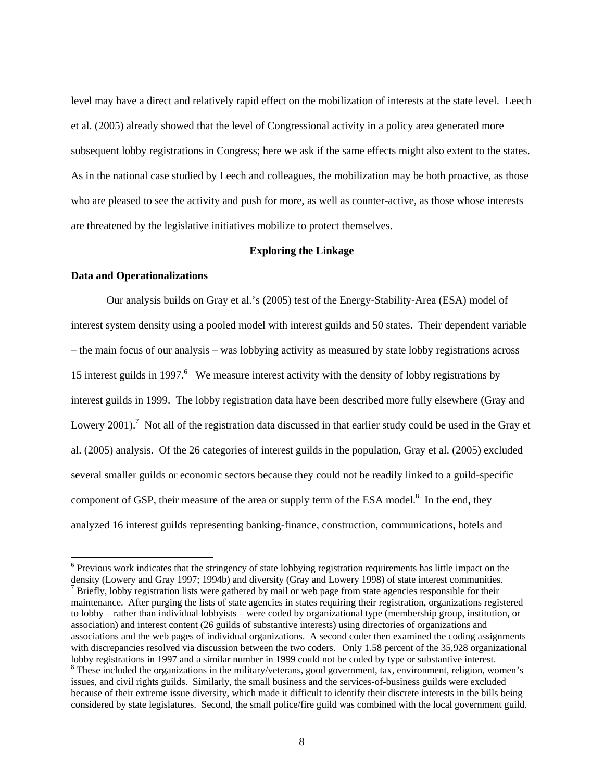level may have a direct and relatively rapid effect on the mobilization of interests at the state level. Leech et al. (2005) already showed that the level of Congressional activity in a policy area generated more subsequent lobby registrations in Congress; here we ask if the same effects might also extent to the states. As in the national case studied by Leech and colleagues, the mobilization may be both proactive, as those who are pleased to see the activity and push for more, as well as counter-active, as those whose interests are threatened by the legislative initiatives mobilize to protect themselves.

# **Exploring the Linkage**

#### **Data and Operationalizations**

 $\overline{a}$ 

Our analysis builds on Gray et al.'s (2005) test of the Energy-Stability-Area (ESA) model of interest system density using a pooled model with interest guilds and 50 states. Their dependent variable – the main focus of our analysis – was lobbying activity as measured by state lobby registrations across 15 interest guilds in 1997.<sup>6</sup> We measure interest activity with the density of lobby registrations by interest guilds in 1999. The lobby registration data have been described more fully elsewhere (Gray and Lowery 2001).<sup>7</sup> Not all of the registration data discussed in that earlier study could be used in the Gray et al. (2005) analysis. Of the 26 categories of interest guilds in the population, Gray et al. (2005) excluded several smaller guilds or economic sectors because they could not be readily linked to a guild-specific component of GSP, their measure of the area or supply term of the ESA model. $8$  In the end, they analyzed 16 interest guilds representing banking-finance, construction, communications, hotels and

<sup>&</sup>lt;sup>6</sup> Previous work indicates that the stringency of state lobbying registration requirements has little impact on the density (Lowery and Gray 1997; 1994b) and diversity (Gray and Lowery 1998) of state interest communities.  $\frac{1}{2}$  Briefly, lobby registration lists were gathered by mail or web page from state agencies responsible for their maintenance. After purging the lists of state agencies in states requiring their registration, organizations registered to lobby – rather than individual lobbyists – were coded by organizational type (membership group, institution, or association) and interest content (26 guilds of substantive interests) using directories of organizations and associations and the web pages of individual organizations. A second coder then examined the coding assignments with discrepancies resolved via discussion between the two coders. Only 1.58 percent of the 35,928 organizational lobby registrations in 1997 and a similar number in 1999 could not be coded by type or substantive interest. <sup>8</sup> These included the organizations in the military/veterans, good government, tax, environment, religion, women's issues, and civil rights guilds. Similarly, the small business and the services-of-business guilds were excluded because of their extreme issue diversity, which made it difficult to identify their discrete interests in the bills being considered by state legislatures. Second, the small police/fire guild was combined with the local government guild.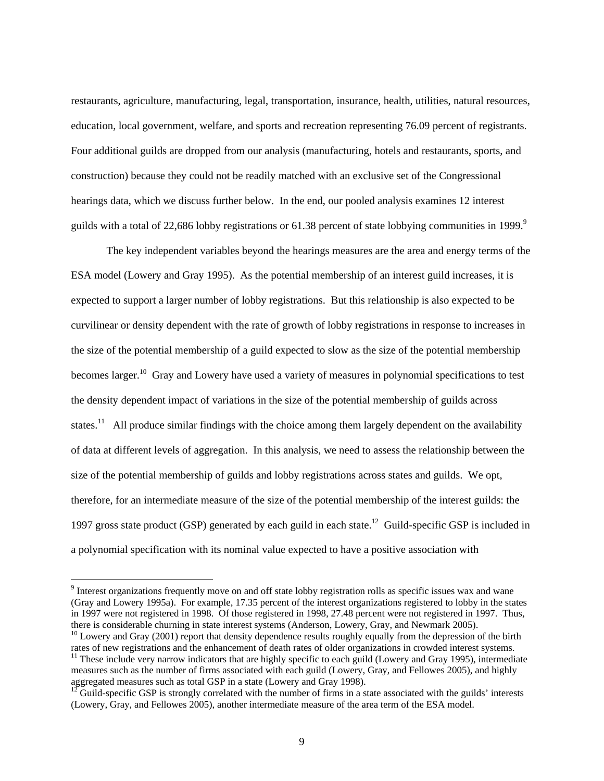restaurants, agriculture, manufacturing, legal, transportation, insurance, health, utilities, natural resources, education, local government, welfare, and sports and recreation representing 76.09 percent of registrants. Four additional guilds are dropped from our analysis (manufacturing, hotels and restaurants, sports, and construction) because they could not be readily matched with an exclusive set of the Congressional hearings data, which we discuss further below. In the end, our pooled analysis examines 12 interest guilds with a total of 22,686 lobby registrations or 61.38 percent of state lobbying communities in 1999.<sup>9</sup>

 The key independent variables beyond the hearings measures are the area and energy terms of the ESA model (Lowery and Gray 1995). As the potential membership of an interest guild increases, it is expected to support a larger number of lobby registrations. But this relationship is also expected to be curvilinear or density dependent with the rate of growth of lobby registrations in response to increases in the size of the potential membership of a guild expected to slow as the size of the potential membership becomes larger.<sup>10</sup> Gray and Lowery have used a variety of measures in polynomial specifications to test the density dependent impact of variations in the size of the potential membership of guilds across states.<sup>11</sup> All produce similar findings with the choice among them largely dependent on the availability of data at different levels of aggregation. In this analysis, we need to assess the relationship between the size of the potential membership of guilds and lobby registrations across states and guilds. We opt, therefore, for an intermediate measure of the size of the potential membership of the interest guilds: the 1997 gross state product (GSP) generated by each guild in each state.<sup>12</sup> Guild-specific GSP is included in a polynomial specification with its nominal value expected to have a positive association with

<sup>&</sup>lt;sup>9</sup> Interest organizations frequently move on and off state lobby registration rolls as specific issues wax and wane (Gray and Lowery 1995a). For example, 17.35 percent of the interest organizations registered to lobby in the states in 1997 were not registered in 1998. Of those registered in 1998, 27.48 percent were not registered in 1997. Thus, there is considerable churning in state interest systems (Anderson, Lowery, Gray, and Newmark 2005).<br><sup>10</sup> Lowery and Gray (2001) report that density dependence results roughly equally from the depression of the birth

rates of new registrations and the enhancement of death rates of older organizations in crowded interest systems.  $11$  These include very narrow indicators that are highly specific to each guild (Lowery and Gray 1995), intermediate measures such as the number of firms associated with each guild (Lowery, Gray, and Fellowes 2005), and highly aggregated measures such as total GSP in a state (Lowery and Gray 1998).

 $12$  Guild-specific GSP is strongly correlated with the number of firms in a state associated with the guilds' interests (Lowery, Gray, and Fellowes 2005), another intermediate measure of the area term of the ESA model.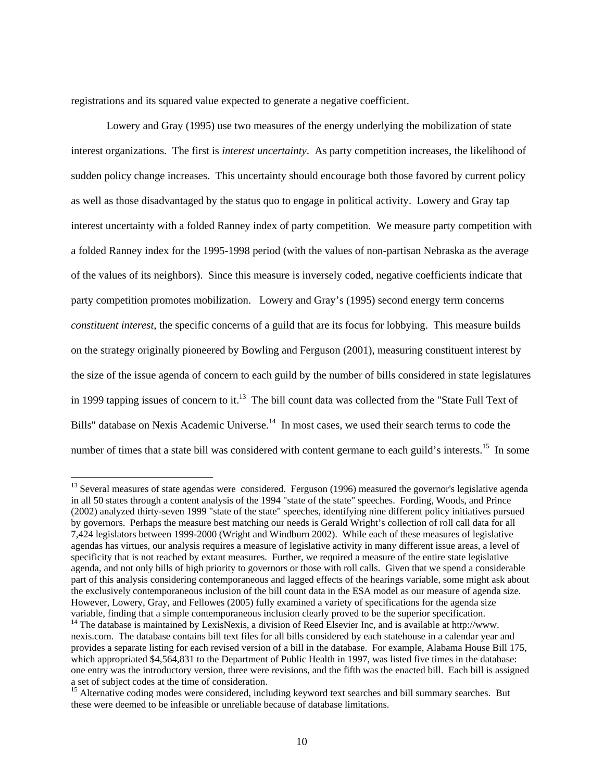registrations and its squared value expected to generate a negative coefficient.

 $\overline{a}$ 

 Lowery and Gray (1995) use two measures of the energy underlying the mobilization of state interest organizations. The first is *interest uncertainty*. As party competition increases, the likelihood of sudden policy change increases. This uncertainty should encourage both those favored by current policy as well as those disadvantaged by the status quo to engage in political activity. Lowery and Gray tap interest uncertainty with a folded Ranney index of party competition. We measure party competition with a folded Ranney index for the 1995-1998 period (with the values of non-partisan Nebraska as the average of the values of its neighbors). Since this measure is inversely coded, negative coefficients indicate that party competition promotes mobilization. Lowery and Gray's (1995) second energy term concerns *constituent interest*, the specific concerns of a guild that are its focus for lobbying. This measure builds on the strategy originally pioneered by Bowling and Ferguson (2001), measuring constituent interest by the size of the issue agenda of concern to each guild by the number of bills considered in state legislatures in 1999 tapping issues of concern to it.<sup>13</sup> The bill count data was collected from the "State Full Text of Bills" database on Nexis Academic Universe.<sup>14</sup> In most cases, we used their search terms to code the number of times that a state bill was considered with content germane to each guild's interests.<sup>15</sup> In some

 $13$  Several measures of state agendas were considered. Ferguson (1996) measured the governor's legislative agenda in all 50 states through a content analysis of the 1994 "state of the state" speeches. Fording, Woods, and Prince (2002) analyzed thirty-seven 1999 "state of the state" speeches, identifying nine different policy initiatives pursued by governors. Perhaps the measure best matching our needs is Gerald Wright's collection of roll call data for all 7,424 legislators between 1999-2000 (Wright and Windburn 2002). While each of these measures of legislative agendas has virtues, our analysis requires a measure of legislative activity in many different issue areas, a level of specificity that is not reached by extant measures. Further, we required a measure of the entire state legislative agenda, and not only bills of high priority to governors or those with roll calls. Given that we spend a considerable part of this analysis considering contemporaneous and lagged effects of the hearings variable, some might ask about the exclusively contemporaneous inclusion of the bill count data in the ESA model as our measure of agenda size. However, Lowery, Gray, and Fellowes (2005) fully examined a variety of specifications for the agenda size variable, finding that a simple contemporaneous inclusion clearly proved to be the superior specification. <sup>14</sup> The database is maintained by LexisNexis, a division of Reed Elsevier Inc, and is available at http://www.

nexis.com. The database contains bill text files for all bills considered by each statehouse in a calendar year and provides a separate listing for each revised version of a bill in the database. For example, Alabama House Bill 175, which appropriated \$4,564,831 to the Department of Public Health in 1997, was listed five times in the database: one entry was the introductory version, three were revisions, and the fifth was the enacted bill. Each bill is assigned a set of subject codes at the time of consideration.

<sup>&</sup>lt;sup>15</sup> Alternative coding modes were considered, including keyword text searches and bill summary searches. But these were deemed to be infeasible or unreliable because of database limitations.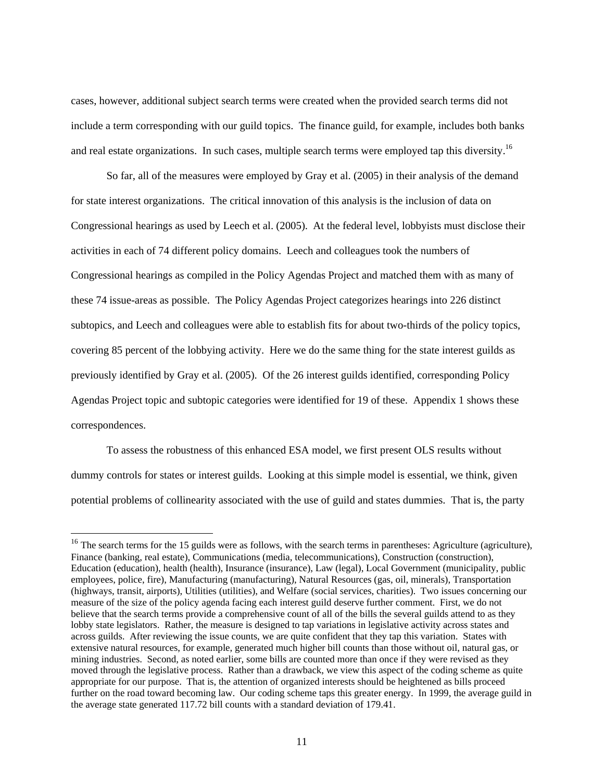cases, however, additional subject search terms were created when the provided search terms did not include a term corresponding with our guild topics. The finance guild, for example, includes both banks and real estate organizations. In such cases, multiple search terms were employed tap this diversity.<sup>16</sup>

So far, all of the measures were employed by Gray et al. (2005) in their analysis of the demand for state interest organizations. The critical innovation of this analysis is the inclusion of data on Congressional hearings as used by Leech et al. (2005). At the federal level, lobbyists must disclose their activities in each of 74 different policy domains. Leech and colleagues took the numbers of Congressional hearings as compiled in the Policy Agendas Project and matched them with as many of these 74 issue-areas as possible. The Policy Agendas Project categorizes hearings into 226 distinct subtopics, and Leech and colleagues were able to establish fits for about two-thirds of the policy topics, covering 85 percent of the lobbying activity. Here we do the same thing for the state interest guilds as previously identified by Gray et al. (2005). Of the 26 interest guilds identified, corresponding Policy Agendas Project topic and subtopic categories were identified for 19 of these. Appendix 1 shows these correspondences.

To assess the robustness of this enhanced ESA model, we first present OLS results without dummy controls for states or interest guilds. Looking at this simple model is essential, we think, given potential problems of collinearity associated with the use of guild and states dummies. That is, the party

 $16$  The search terms for the 15 guilds were as follows, with the search terms in parentheses: Agriculture (agriculture), Finance (banking, real estate), Communications (media, telecommunications), Construction (construction), Education (education), health (health), Insurance (insurance), Law (legal), Local Government (municipality, public employees, police, fire), Manufacturing (manufacturing), Natural Resources (gas, oil, minerals), Transportation (highways, transit, airports), Utilities (utilities), and Welfare (social services, charities). Two issues concerning our measure of the size of the policy agenda facing each interest guild deserve further comment. First, we do not believe that the search terms provide a comprehensive count of all of the bills the several guilds attend to as they lobby state legislators. Rather, the measure is designed to tap variations in legislative activity across states and across guilds. After reviewing the issue counts, we are quite confident that they tap this variation. States with extensive natural resources, for example, generated much higher bill counts than those without oil, natural gas, or mining industries. Second, as noted earlier, some bills are counted more than once if they were revised as they moved through the legislative process. Rather than a drawback, we view this aspect of the coding scheme as quite appropriate for our purpose. That is, the attention of organized interests should be heightened as bills proceed further on the road toward becoming law. Our coding scheme taps this greater energy. In 1999, the average guild in the average state generated 117.72 bill counts with a standard deviation of 179.41.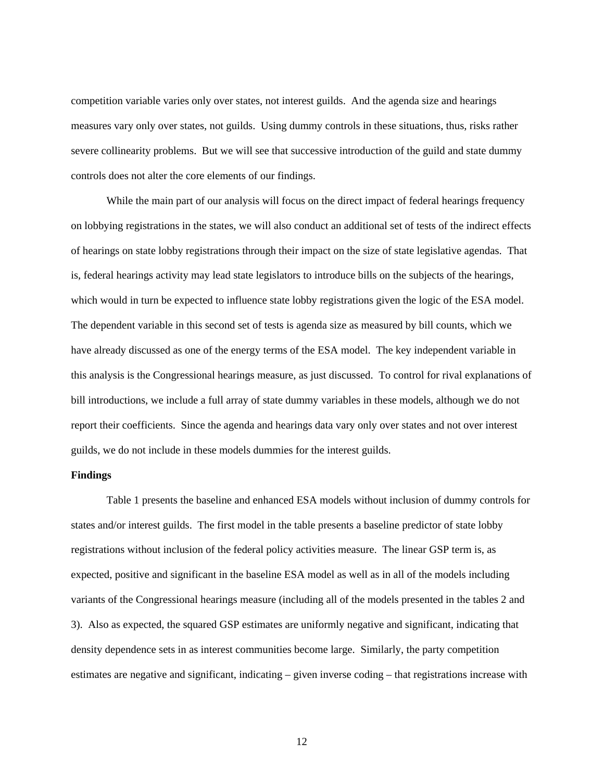competition variable varies only over states, not interest guilds. And the agenda size and hearings measures vary only over states, not guilds. Using dummy controls in these situations, thus, risks rather severe collinearity problems. But we will see that successive introduction of the guild and state dummy controls does not alter the core elements of our findings.

While the main part of our analysis will focus on the direct impact of federal hearings frequency on lobbying registrations in the states, we will also conduct an additional set of tests of the indirect effects of hearings on state lobby registrations through their impact on the size of state legislative agendas. That is, federal hearings activity may lead state legislators to introduce bills on the subjects of the hearings, which would in turn be expected to influence state lobby registrations given the logic of the ESA model. The dependent variable in this second set of tests is agenda size as measured by bill counts, which we have already discussed as one of the energy terms of the ESA model. The key independent variable in this analysis is the Congressional hearings measure, as just discussed. To control for rival explanations of bill introductions, we include a full array of state dummy variables in these models, although we do not report their coefficients. Since the agenda and hearings data vary only over states and not over interest guilds, we do not include in these models dummies for the interest guilds.

# **Findings**

Table 1 presents the baseline and enhanced ESA models without inclusion of dummy controls for states and/or interest guilds. The first model in the table presents a baseline predictor of state lobby registrations without inclusion of the federal policy activities measure. The linear GSP term is, as expected, positive and significant in the baseline ESA model as well as in all of the models including variants of the Congressional hearings measure (including all of the models presented in the tables 2 and 3). Also as expected, the squared GSP estimates are uniformly negative and significant, indicating that density dependence sets in as interest communities become large. Similarly, the party competition estimates are negative and significant, indicating – given inverse coding – that registrations increase with

12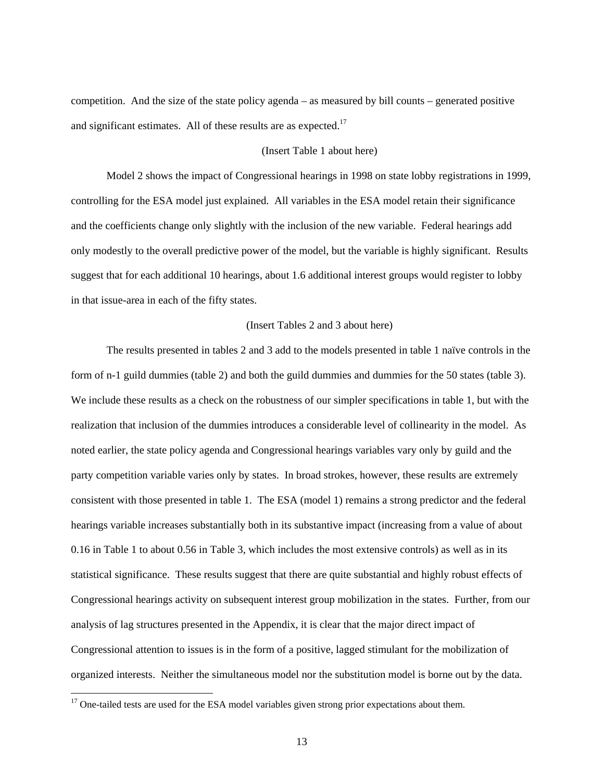competition. And the size of the state policy agenda – as measured by bill counts – generated positive and significant estimates. All of these results are as expected.<sup>17</sup>

# (Insert Table 1 about here)

Model 2 shows the impact of Congressional hearings in 1998 on state lobby registrations in 1999, controlling for the ESA model just explained. All variables in the ESA model retain their significance and the coefficients change only slightly with the inclusion of the new variable. Federal hearings add only modestly to the overall predictive power of the model, but the variable is highly significant. Results suggest that for each additional 10 hearings, about 1.6 additional interest groups would register to lobby in that issue-area in each of the fifty states.

## (Insert Tables 2 and 3 about here)

The results presented in tables 2 and 3 add to the models presented in table 1 naïve controls in the form of n-1 guild dummies (table 2) and both the guild dummies and dummies for the 50 states (table 3). We include these results as a check on the robustness of our simpler specifications in table 1, but with the realization that inclusion of the dummies introduces a considerable level of collinearity in the model. As noted earlier, the state policy agenda and Congressional hearings variables vary only by guild and the party competition variable varies only by states. In broad strokes, however, these results are extremely consistent with those presented in table 1. The ESA (model 1) remains a strong predictor and the federal hearings variable increases substantially both in its substantive impact (increasing from a value of about 0.16 in Table 1 to about 0.56 in Table 3, which includes the most extensive controls) as well as in its statistical significance. These results suggest that there are quite substantial and highly robust effects of Congressional hearings activity on subsequent interest group mobilization in the states. Further, from our analysis of lag structures presented in the Appendix, it is clear that the major direct impact of Congressional attention to issues is in the form of a positive, lagged stimulant for the mobilization of organized interests. Neither the simultaneous model nor the substitution model is borne out by the data.

 $17$  One-tailed tests are used for the ESA model variables given strong prior expectations about them.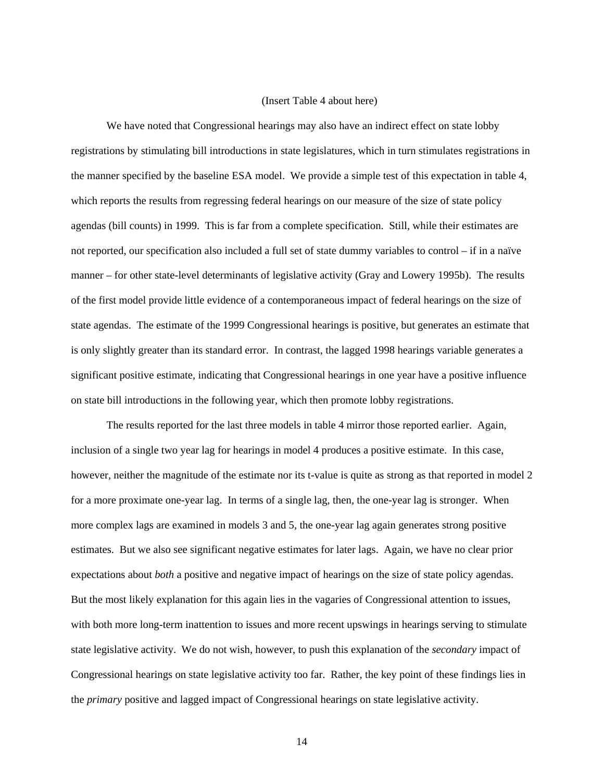#### (Insert Table 4 about here)

We have noted that Congressional hearings may also have an indirect effect on state lobby registrations by stimulating bill introductions in state legislatures, which in turn stimulates registrations in the manner specified by the baseline ESA model. We provide a simple test of this expectation in table 4, which reports the results from regressing federal hearings on our measure of the size of state policy agendas (bill counts) in 1999. This is far from a complete specification. Still, while their estimates are not reported, our specification also included a full set of state dummy variables to control – if in a naïve manner – for other state-level determinants of legislative activity (Gray and Lowery 1995b). The results of the first model provide little evidence of a contemporaneous impact of federal hearings on the size of state agendas. The estimate of the 1999 Congressional hearings is positive, but generates an estimate that is only slightly greater than its standard error. In contrast, the lagged 1998 hearings variable generates a significant positive estimate, indicating that Congressional hearings in one year have a positive influence on state bill introductions in the following year, which then promote lobby registrations.

The results reported for the last three models in table 4 mirror those reported earlier. Again, inclusion of a single two year lag for hearings in model 4 produces a positive estimate. In this case, however, neither the magnitude of the estimate nor its t-value is quite as strong as that reported in model 2 for a more proximate one-year lag. In terms of a single lag, then, the one-year lag is stronger. When more complex lags are examined in models 3 and 5, the one-year lag again generates strong positive estimates. But we also see significant negative estimates for later lags. Again, we have no clear prior expectations about *both* a positive and negative impact of hearings on the size of state policy agendas. But the most likely explanation for this again lies in the vagaries of Congressional attention to issues, with both more long-term inattention to issues and more recent upswings in hearings serving to stimulate state legislative activity. We do not wish, however, to push this explanation of the *secondary* impact of Congressional hearings on state legislative activity too far. Rather, the key point of these findings lies in the *primary* positive and lagged impact of Congressional hearings on state legislative activity.

14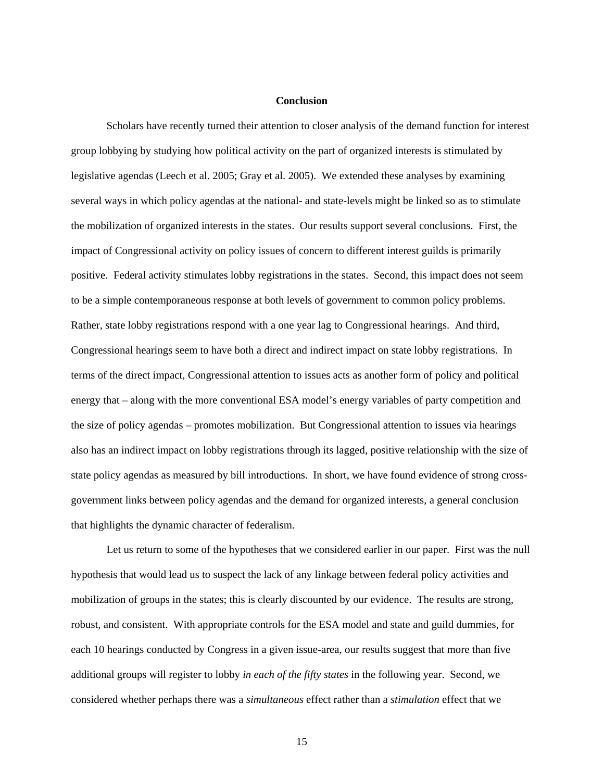### **Conclusion**

Scholars have recently turned their attention to closer analysis of the demand function for interest group lobbying by studying how political activity on the part of organized interests is stimulated by legislative agendas (Leech et al. 2005; Gray et al. 2005). We extended these analyses by examining several ways in which policy agendas at the national- and state-levels might be linked so as to stimulate the mobilization of organized interests in the states. Our results support several conclusions. First, the impact of Congressional activity on policy issues of concern to different interest guilds is primarily positive. Federal activity stimulates lobby registrations in the states. Second, this impact does not seem to be a simple contemporaneous response at both levels of government to common policy problems. Rather, state lobby registrations respond with a one year lag to Congressional hearings. And third, Congressional hearings seem to have both a direct and indirect impact on state lobby registrations. In terms of the direct impact, Congressional attention to issues acts as another form of policy and political energy that – along with the more conventional ESA model's energy variables of party competition and the size of policy agendas – promotes mobilization. But Congressional attention to issues via hearings also has an indirect impact on lobby registrations through its lagged, positive relationship with the size of state policy agendas as measured by bill introductions. In short, we have found evidence of strong crossgovernment links between policy agendas and the demand for organized interests, a general conclusion that highlights the dynamic character of federalism.

Let us return to some of the hypotheses that we considered earlier in our paper. First was the null hypothesis that would lead us to suspect the lack of any linkage between federal policy activities and mobilization of groups in the states; this is clearly discounted by our evidence. The results are strong, robust, and consistent. With appropriate controls for the ESA model and state and guild dummies, for each 10 hearings conducted by Congress in a given issue-area, our results suggest that more than five additional groups will register to lobby *in each of the fifty states* in the following year. Second, we considered whether perhaps there was a *simultaneous* effect rather than a *stimulation* effect that we

15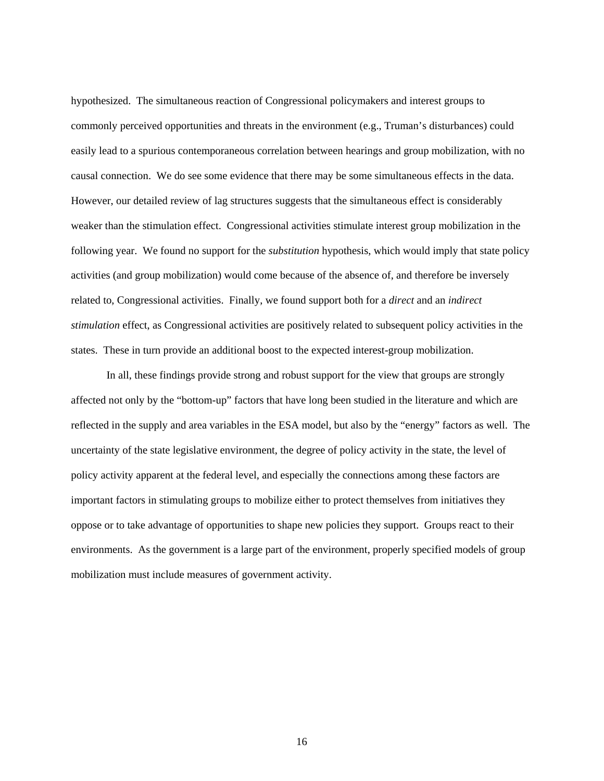hypothesized. The simultaneous reaction of Congressional policymakers and interest groups to commonly perceived opportunities and threats in the environment (e.g., Truman's disturbances) could easily lead to a spurious contemporaneous correlation between hearings and group mobilization, with no causal connection. We do see some evidence that there may be some simultaneous effects in the data. However, our detailed review of lag structures suggests that the simultaneous effect is considerably weaker than the stimulation effect. Congressional activities stimulate interest group mobilization in the following year. We found no support for the *substitution* hypothesis, which would imply that state policy activities (and group mobilization) would come because of the absence of, and therefore be inversely related to, Congressional activities. Finally, we found support both for a *direct* and an *indirect stimulation* effect, as Congressional activities are positively related to subsequent policy activities in the states. These in turn provide an additional boost to the expected interest-group mobilization.

In all, these findings provide strong and robust support for the view that groups are strongly affected not only by the "bottom-up" factors that have long been studied in the literature and which are reflected in the supply and area variables in the ESA model, but also by the "energy" factors as well. The uncertainty of the state legislative environment, the degree of policy activity in the state, the level of policy activity apparent at the federal level, and especially the connections among these factors are important factors in stimulating groups to mobilize either to protect themselves from initiatives they oppose or to take advantage of opportunities to shape new policies they support. Groups react to their environments. As the government is a large part of the environment, properly specified models of group mobilization must include measures of government activity.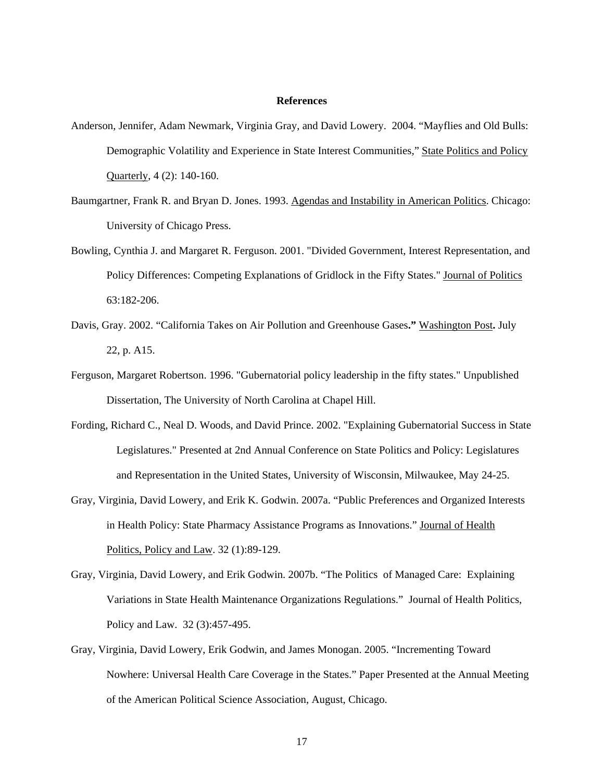### **References**

- Anderson, Jennifer, Adam Newmark, Virginia Gray, and David Lowery. 2004. "Mayflies and Old Bulls: Demographic Volatility and Experience in State Interest Communities," State Politics and Policy Quarterly, 4 (2): 140-160.
- Baumgartner, Frank R. and Bryan D. Jones. 1993. Agendas and Instability in American Politics. Chicago: University of Chicago Press.
- Bowling, Cynthia J. and Margaret R. Ferguson. 2001. "Divided Government, Interest Representation, and Policy Differences: Competing Explanations of Gridlock in the Fifty States." Journal of Politics 63:182-206.
- Davis, Gray. 2002. "California Takes on Air Pollution and Greenhouse Gases**."** Washington Post**.** July 22, p. A15.
- Ferguson, Margaret Robertson. 1996. "Gubernatorial policy leadership in the fifty states." Unpublished Dissertation, The University of North Carolina at Chapel Hill.
- Fording, Richard C., Neal D. Woods, and David Prince. 2002. "Explaining Gubernatorial Success in State Legislatures." Presented at 2nd Annual Conference on State Politics and Policy: Legislatures and Representation in the United States, University of Wisconsin, Milwaukee, May 24-25.
- Gray, Virginia, David Lowery, and Erik K. Godwin. 2007a. "Public Preferences and Organized Interests in Health Policy: State Pharmacy Assistance Programs as Innovations." Journal of Health Politics, Policy and Law. 32 (1):89-129.
- Gray, Virginia, David Lowery, and Erik Godwin. 2007b. "The Politics of Managed Care: Explaining Variations in State Health Maintenance Organizations Regulations." Journal of Health Politics, Policy and Law. 32 (3):457-495.
- Gray, Virginia, David Lowery, Erik Godwin, and James Monogan. 2005. "Incrementing Toward Nowhere: Universal Health Care Coverage in the States." Paper Presented at the Annual Meeting of the American Political Science Association, August, Chicago.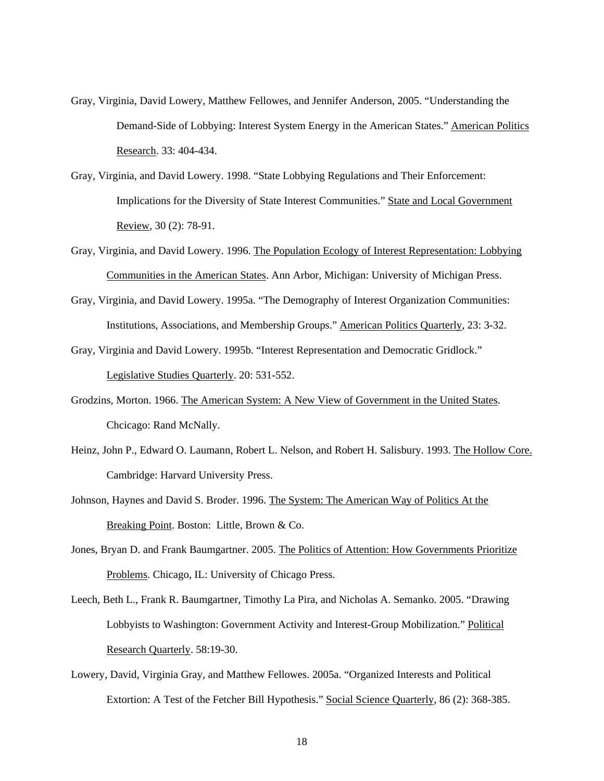- Gray, Virginia, David Lowery, Matthew Fellowes, and Jennifer Anderson, 2005. "Understanding the Demand-Side of Lobbying: Interest System Energy in the American States." American Politics Research. 33: 404-434.
- Gray, Virginia, and David Lowery. 1998. "State Lobbying Regulations and Their Enforcement: Implications for the Diversity of State Interest Communities." State and Local Government Review, 30 (2): 78-91.
- Gray, Virginia, and David Lowery. 1996. The Population Ecology of Interest Representation: Lobbying Communities in the American States. Ann Arbor, Michigan: University of Michigan Press.
- Gray, Virginia, and David Lowery. 1995a. "The Demography of Interest Organization Communities: Institutions, Associations, and Membership Groups." American Politics Quarterly, 23: 3-32.
- Gray, Virginia and David Lowery. 1995b. "Interest Representation and Democratic Gridlock." Legislative Studies Quarterly. 20: 531-552.
- Grodzins, Morton. 1966. The American System: A New View of Government in the United States. Chcicago: Rand McNally.
- Heinz, John P., Edward O. Laumann, Robert L. Nelson, and Robert H. Salisbury. 1993. The Hollow Core. Cambridge: Harvard University Press.
- Johnson, Haynes and David S. Broder. 1996. The System: The American Way of Politics At the Breaking Point. Boston: Little, Brown & Co.
- Jones, Bryan D. and Frank Baumgartner. 2005. The Politics of Attention: How Governments Prioritize Problems. Chicago, IL: University of Chicago Press.
- Leech, Beth L., Frank R. Baumgartner, Timothy La Pira, and Nicholas A. Semanko. 2005. "Drawing Lobbyists to Washington: Government Activity and Interest-Group Mobilization." Political Research Quarterly. 58:19-30.
- Lowery, David, Virginia Gray, and Matthew Fellowes. 2005a. "Organized Interests and Political Extortion: A Test of the Fetcher Bill Hypothesis." Social Science Quarterly, 86 (2): 368-385.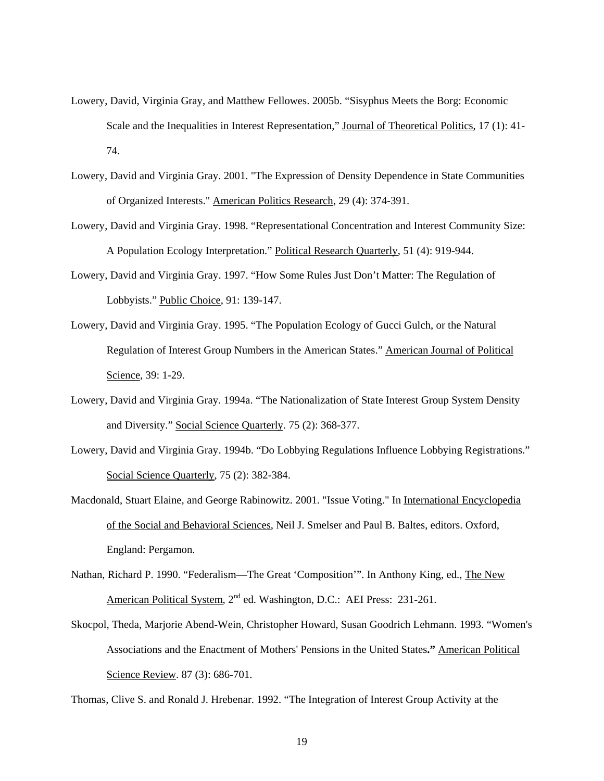- Lowery, David, Virginia Gray, and Matthew Fellowes. 2005b. "Sisyphus Meets the Borg: Economic Scale and the Inequalities in Interest Representation," Journal of Theoretical Politics, 17 (1): 41- 74.
- Lowery, David and Virginia Gray. 2001. "The Expression of Density Dependence in State Communities of Organized Interests." American Politics Research, 29 (4): 374-391.
- Lowery, David and Virginia Gray. 1998. "Representational Concentration and Interest Community Size: A Population Ecology Interpretation." Political Research Quarterly, 51 (4): 919-944.
- Lowery, David and Virginia Gray. 1997. "How Some Rules Just Don't Matter: The Regulation of Lobbyists." Public Choice, 91: 139-147.
- Lowery, David and Virginia Gray. 1995. "The Population Ecology of Gucci Gulch, or the Natural Regulation of Interest Group Numbers in the American States." American Journal of Political Science, 39: 1-29.
- Lowery, David and Virginia Gray. 1994a. "The Nationalization of State Interest Group System Density and Diversity." Social Science Quarterly. 75 (2): 368-377.
- Lowery, David and Virginia Gray. 1994b. "Do Lobbying Regulations Influence Lobbying Registrations." Social Science Quarterly, 75 (2): 382-384.
- Macdonald, Stuart Elaine, and George Rabinowitz. 2001. "Issue Voting." In International Encyclopedia of the Social and Behavioral Sciences, Neil J. Smelser and Paul B. Baltes, editors. Oxford, England: Pergamon.
- Nathan, Richard P. 1990. "Federalism—The Great 'Composition'". In Anthony King, ed., The New American Political System, 2<sup>nd</sup> ed. Washington, D.C.: AEI Press: 231-261.
- Skocpol, Theda, Marjorie Abend-Wein, Christopher Howard, Susan Goodrich Lehmann. 1993. "Women's Associations and the Enactment of Mothers' Pensions in the United States**."** American Political Science Review. 87 (3): 686-701.

Thomas, Clive S. and Ronald J. Hrebenar. 1992. "The Integration of Interest Group Activity at the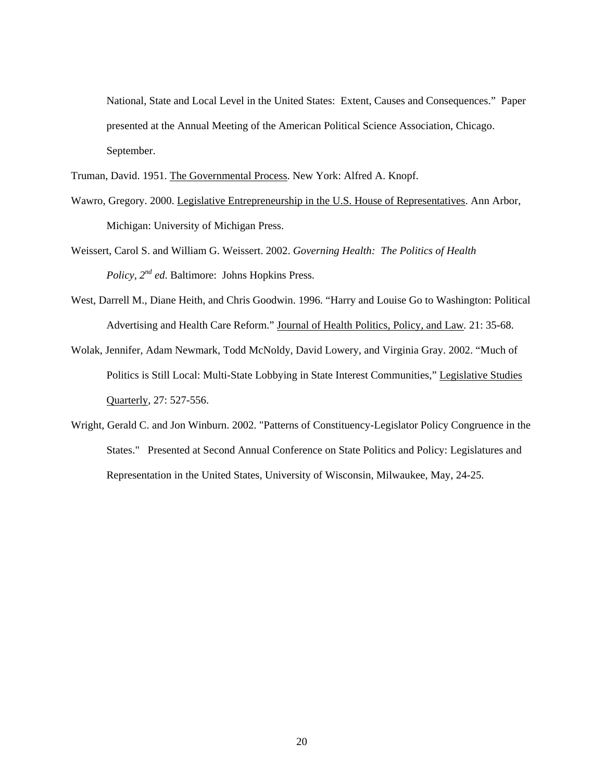National, State and Local Level in the United States: Extent, Causes and Consequences." Paper presented at the Annual Meeting of the American Political Science Association, Chicago. September.

Truman, David. 1951. The Governmental Process. New York: Alfred A. Knopf.

- Wawro, Gregory. 2000. Legislative Entrepreneurship in the U.S. House of Representatives. Ann Arbor, Michigan: University of Michigan Press.
- Weissert, Carol S. and William G. Weissert. 2002. *Governing Health: The Politics of Health Policy, 2nd ed*. Baltimore: Johns Hopkins Press.
- West, Darrell M., Diane Heith, and Chris Goodwin. 1996. "Harry and Louise Go to Washington: Political Advertising and Health Care Reform." Journal of Health Politics, Policy, and Law*.* 21: 35-68.
- Wolak, Jennifer, Adam Newmark, Todd McNoldy, David Lowery, and Virginia Gray. 2002. "Much of Politics is Still Local: Multi-State Lobbying in State Interest Communities," Legislative Studies Quarterly, 27: 527-556.
- Wright, Gerald C. and Jon Winburn. 2002. "Patterns of Constituency-Legislator Policy Congruence in the States." Presented at Second Annual Conference on State Politics and Policy: Legislatures and Representation in the United States, University of Wisconsin, Milwaukee, May, 24-25.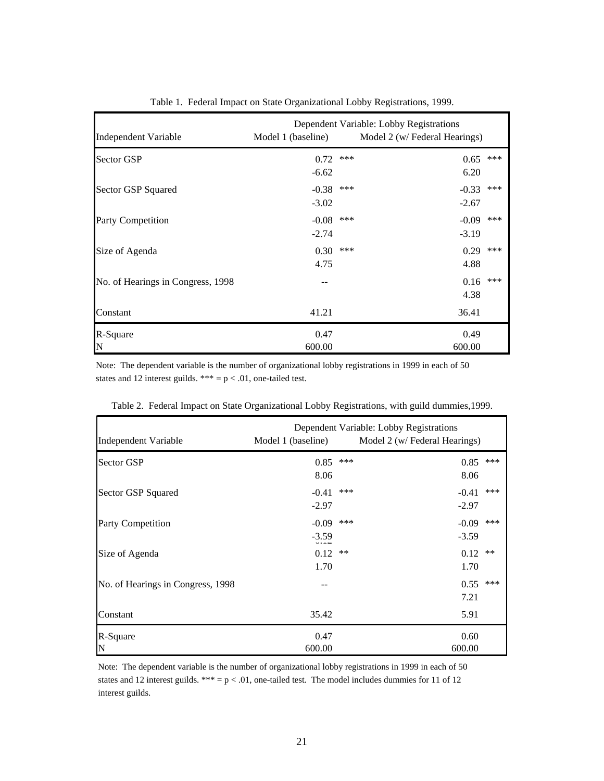| Independent Variable              | Dependent Variable: Lobby Registrations<br>Model 1 (baseline)<br>Model 2 (w/ Federal Hearings) |     |                    |       |  |
|-----------------------------------|------------------------------------------------------------------------------------------------|-----|--------------------|-------|--|
| <b>Sector GSP</b>                 | 0.72<br>$-6.62$                                                                                | *** | 0.65<br>6.20       | ***   |  |
| Sector GSP Squared                | $-0.38$<br>$-3.02$                                                                             | *** | $-0.33$<br>$-2.67$ | ***   |  |
| Party Competition                 | $-0.08$<br>$-2.74$                                                                             | *** | $-0.09$<br>$-3.19$ | $***$ |  |
| Size of Agenda                    | 0.30<br>4.75                                                                                   | *** | 0.29<br>4.88       | ***   |  |
| No. of Hearings in Congress, 1998 |                                                                                                |     | 0.16<br>4.38       | ***   |  |
| Constant                          | 41.21                                                                                          |     | 36.41              |       |  |
| R-Square<br>ΙN                    | 0.47<br>600.00                                                                                 |     | 0.49<br>600.00     |       |  |

Table 1. Federal Impact on State Organizational Lobby Registrations, 1999.

Note: The dependent variable is the number of organizational lobby registrations in 1999 in each of 50 states and 12 interest guilds. \*\*\* =  $p < .01$ , one-tailed test.

| <b>Independent Variable</b>       | Model 1 (baseline)                            | Dependent Variable: Lobby Registrations<br>Model 2 (w/ Federal Hearings) |     |  |  |
|-----------------------------------|-----------------------------------------------|--------------------------------------------------------------------------|-----|--|--|
| <b>Sector GSP</b>                 | 0.85<br>8.06                                  | ***<br>0.85<br>8.06                                                      | *** |  |  |
| Sector GSP Squared                | $-0.41$<br>$-2.97$                            | ***<br>$-0.41$<br>$-2.97$                                                | *** |  |  |
| Party Competition                 | $-0.09$<br>$-3.59$<br>$\overline{\mathbf{v}}$ | ***<br>$-0.09$<br>$-3.59$                                                | *** |  |  |
| Size of Agenda                    | 0.12<br>1.70                                  | 0.12<br>$***$<br>1.70                                                    | **  |  |  |
| No. of Hearings in Congress, 1998 |                                               | 0.55<br>7.21                                                             | *** |  |  |
| Constant                          | 35.42                                         | 5.91                                                                     |     |  |  |
| R-Square<br>N                     | 0.47<br>600.00                                | 0.60<br>600.00                                                           |     |  |  |

Table 2. Federal Impact on State Organizational Lobby Registrations, with guild dummies,1999.

Note: The dependent variable is the number of organizational lobby registrations in 1999 in each of 50 states and 12 interest guilds. \*\*\* =  $p < .01$ , one-tailed test. The model includes dummies for 11 of 12 interest guilds.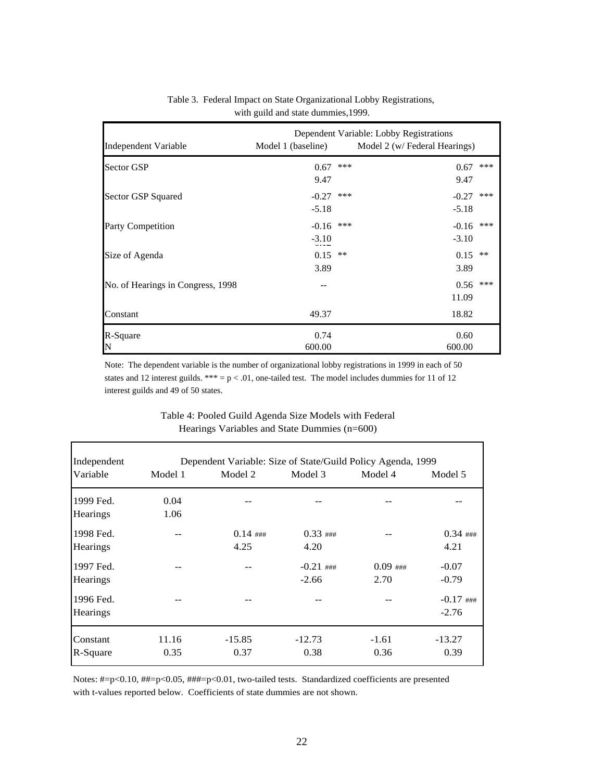| Independent Variable              | Dependent Variable: Lobby Registrations<br>Model 2 (w/ Federal Hearings)<br>Model 1 (baseline) |       |                    |               |
|-----------------------------------|------------------------------------------------------------------------------------------------|-------|--------------------|---------------|
| Sector GSP                        | 0.67<br>9.47                                                                                   | ***   | 0.67<br>9.47       | ***           |
| Sector GSP Squared                | $-0.27$<br>$-5.18$                                                                             | ***   | $-0.27$<br>$-5.18$ | ***           |
| Party Competition                 | $-0.16$<br>$-3.10$<br>$\overline{0}$                                                           | $***$ | $-0.16$<br>$-3.10$ | ***           |
| Size of Agenda                    | 0.15<br>3.89                                                                                   | $* *$ | 0.15<br>3.89       | $\ast$ $\ast$ |
| No. of Hearings in Congress, 1998 |                                                                                                |       | 0.56<br>11.09      | ***           |
| Constant                          | 49.37                                                                                          |       | 18.82              |               |
| R-Square<br>N                     | 0.74<br>600.00                                                                                 |       | 0.60<br>600.00     |               |

# Table 3. Federal Impact on State Organizational Lobby Registrations, with guild and state dummies,1999.

Note: The dependent variable is the number of organizational lobby registrations in 1999 in each of 50 states and 12 interest guilds. \*\*\* =  $p < .01$ , one-tailed test. The model includes dummies for 11 of 12 interest guilds and 49 of 50 states.

| Independent | Dependent Variable: Size of State/Guild Policy Agenda, 1999 |            |             |            |             |  |
|-------------|-------------------------------------------------------------|------------|-------------|------------|-------------|--|
| Variable    | Model 1                                                     | Model 2    | Model 3     | Model 4    | Model 5     |  |
| 1999 Fed.   | 0.04                                                        |            |             |            |             |  |
| Hearings    | 1.06                                                        |            |             |            |             |  |
| 1998 Fed.   |                                                             | $0.14$ ### | $0.33$ ###  |            | $0.34$ ###  |  |
| Hearings    |                                                             | 4.25       | 4.20        |            | 4.21        |  |
| 1997 Fed.   |                                                             |            | $-0.21$ ### | $0.09$ ### | $-0.07$     |  |
| Hearings    |                                                             |            | $-2.66$     | 2.70       | $-0.79$     |  |
| 1996 Fed.   |                                                             |            |             |            | $-0.17$ ### |  |
| Hearings    |                                                             |            |             |            | $-2.76$     |  |
| Constant    | 11.16                                                       | $-15.85$   | $-12.73$    | $-1.61$    | $-13.27$    |  |
| R-Square    | 0.35                                                        | 0.37       | 0.38        | 0.36       | 0.39        |  |

# Table 4: Pooled Guild Agenda Size Models with Federal Hearings Variables and State Dummies (n=600)

Notes: #=p<0.10, ##=p<0.05, ###=p<0.01, two-tailed tests. Standardized coefficients are presented with t-values reported below. Coefficients of state dummies are not shown.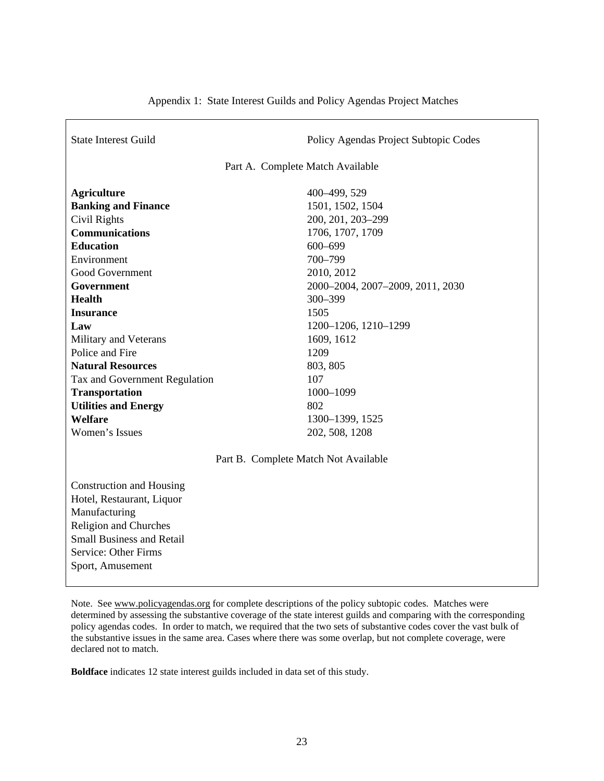| <b>State Interest Guild</b>                                                                                                                                                                                                                                                                                                               | Policy Agendas Project Subtopic Codes |  |  |  |  |  |
|-------------------------------------------------------------------------------------------------------------------------------------------------------------------------------------------------------------------------------------------------------------------------------------------------------------------------------------------|---------------------------------------|--|--|--|--|--|
| Part A. Complete Match Available                                                                                                                                                                                                                                                                                                          |                                       |  |  |  |  |  |
| <b>Agriculture</b>                                                                                                                                                                                                                                                                                                                        | 400-499, 529                          |  |  |  |  |  |
| <b>Banking and Finance</b>                                                                                                                                                                                                                                                                                                                | 1501, 1502, 1504                      |  |  |  |  |  |
| Civil Rights                                                                                                                                                                                                                                                                                                                              | 200, 201, 203-299                     |  |  |  |  |  |
| <b>Communications</b>                                                                                                                                                                                                                                                                                                                     | 1706, 1707, 1709                      |  |  |  |  |  |
| <b>Education</b>                                                                                                                                                                                                                                                                                                                          | 600-699                               |  |  |  |  |  |
| Environment                                                                                                                                                                                                                                                                                                                               | 700-799                               |  |  |  |  |  |
| Good Government                                                                                                                                                                                                                                                                                                                           | 2010, 2012                            |  |  |  |  |  |
| Government                                                                                                                                                                                                                                                                                                                                | 2000-2004, 2007-2009, 2011, 2030      |  |  |  |  |  |
| <b>Health</b>                                                                                                                                                                                                                                                                                                                             | 300-399                               |  |  |  |  |  |
| <b>Insurance</b>                                                                                                                                                                                                                                                                                                                          | 1505                                  |  |  |  |  |  |
| Law                                                                                                                                                                                                                                                                                                                                       | 1200-1206, 1210-1299                  |  |  |  |  |  |
| Military and Veterans                                                                                                                                                                                                                                                                                                                     | 1609, 1612                            |  |  |  |  |  |
| Police and Fire                                                                                                                                                                                                                                                                                                                           | 1209                                  |  |  |  |  |  |
| <b>Natural Resources</b>                                                                                                                                                                                                                                                                                                                  | 803, 805                              |  |  |  |  |  |
| Tax and Government Regulation                                                                                                                                                                                                                                                                                                             | 107                                   |  |  |  |  |  |
| <b>Transportation</b>                                                                                                                                                                                                                                                                                                                     | 1000-1099                             |  |  |  |  |  |
| <b>Utilities and Energy</b>                                                                                                                                                                                                                                                                                                               | 802                                   |  |  |  |  |  |
| Welfare                                                                                                                                                                                                                                                                                                                                   | 1300-1399, 1525                       |  |  |  |  |  |
| Women's Issues                                                                                                                                                                                                                                                                                                                            | 202, 508, 1208                        |  |  |  |  |  |
| Part B. Complete Match Not Available                                                                                                                                                                                                                                                                                                      |                                       |  |  |  |  |  |
| Construction and Housing                                                                                                                                                                                                                                                                                                                  |                                       |  |  |  |  |  |
| Hotel, Restaurant, Liquor                                                                                                                                                                                                                                                                                                                 |                                       |  |  |  |  |  |
| Manufacturing                                                                                                                                                                                                                                                                                                                             |                                       |  |  |  |  |  |
| <b>Religion and Churches</b>                                                                                                                                                                                                                                                                                                              |                                       |  |  |  |  |  |
| <b>Small Business and Retail</b>                                                                                                                                                                                                                                                                                                          |                                       |  |  |  |  |  |
| Service: Other Firms                                                                                                                                                                                                                                                                                                                      |                                       |  |  |  |  |  |
| Sport, Amusement                                                                                                                                                                                                                                                                                                                          |                                       |  |  |  |  |  |
|                                                                                                                                                                                                                                                                                                                                           |                                       |  |  |  |  |  |
| $\mathbf{M}$ , $\mathbf{A}$ , $\mathbf{A}$ , $\mathbf{A}$ , $\mathbf{A}$ , $\mathbf{A}$ , $\mathbf{A}$ , $\mathbf{A}$ , $\mathbf{A}$ , $\mathbf{A}$ , $\mathbf{A}$ , $\mathbf{A}$ , $\mathbf{A}$ , $\mathbf{A}$ , $\mathbf{A}$ , $\mathbf{A}$ , $\mathbf{A}$ , $\mathbf{A}$ , $\mathbf{A}$ , $\mathbf{A}$ , $\mathbf{A}$ , $\mathbf{A}$ , |                                       |  |  |  |  |  |

Appendix 1: State Interest Guilds and Policy Agendas Project Matches

Note. See www.policyagendas.org for complete descriptions of the policy subtopic codes. Matches were determined by assessing the substantive coverage of the state interest guilds and comparing with the corresponding policy agendas codes. In order to match, we required that the two sets of substantive codes cover the vast bulk of the substantive issues in the same area. Cases where there was some overlap, but not complete coverage, were declared not to match.

**Boldface** indicates 12 state interest guilds included in data set of this study.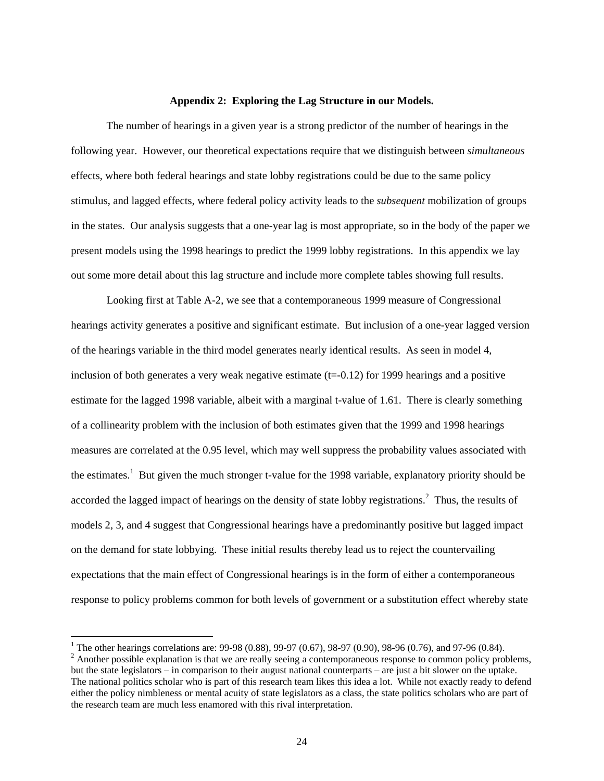### **Appendix 2: Exploring the Lag Structure in our Models.**

The number of hearings in a given year is a strong predictor of the number of hearings in the following year. However, our theoretical expectations require that we distinguish between *simultaneous* effects, where both federal hearings and state lobby registrations could be due to the same policy stimulus, and lagged effects, where federal policy activity leads to the *subsequent* mobilization of groups in the states. Our analysis suggests that a one-year lag is most appropriate, so in the body of the paper we present models using the 1998 hearings to predict the 1999 lobby registrations. In this appendix we lay out some more detail about this lag structure and include more complete tables showing full results.

Looking first at Table A-2, we see that a contemporaneous 1999 measure of Congressional hearings activity generates a positive and significant estimate. But inclusion of a one-year lagged version of the hearings variable in the third model generates nearly identical results. As seen in model 4, inclusion of both generates a very weak negative estimate  $(t=0.12)$  for 1999 hearings and a positive estimate for the lagged 1998 variable, albeit with a marginal t-value of 1.61. There is clearly something of a collinearity problem with the inclusion of both estimates given that the 1999 and 1998 hearings measures are correlated at the 0.95 level, which may well suppress the probability values associated with the estimates.<sup>1</sup> But given the much stronger t-value for the 1998 variable, explanatory priority should be accorded the lagged impact of hearings on the density of state lobby registrations. $<sup>2</sup>$  Thus, the results of</sup> models 2, 3, and 4 suggest that Congressional hearings have a predominantly positive but lagged impact on the demand for state lobbying. These initial results thereby lead us to reject the countervailing expectations that the main effect of Congressional hearings is in the form of either a contemporaneous response to policy problems common for both levels of government or a substitution effect whereby state

<sup>&</sup>lt;sup>1</sup> The other hearings correlations are: 99-98 (0.88), 99-97 (0.67), 98-97 (0.90), 98-96 (0.76), and 97-96 (0.84).  $2^2$  Another possible explanation is that we are really seeing a contemporaneous response to common policy problems, but the state legislators – in comparison to their august national counterparts – are just a bit slower on the uptake. The national politics scholar who is part of this research team likes this idea a lot. While not exactly ready to defend either the policy nimbleness or mental acuity of state legislators as a class, the state politics scholars who are part of the research team are much less enamored with this rival interpretation.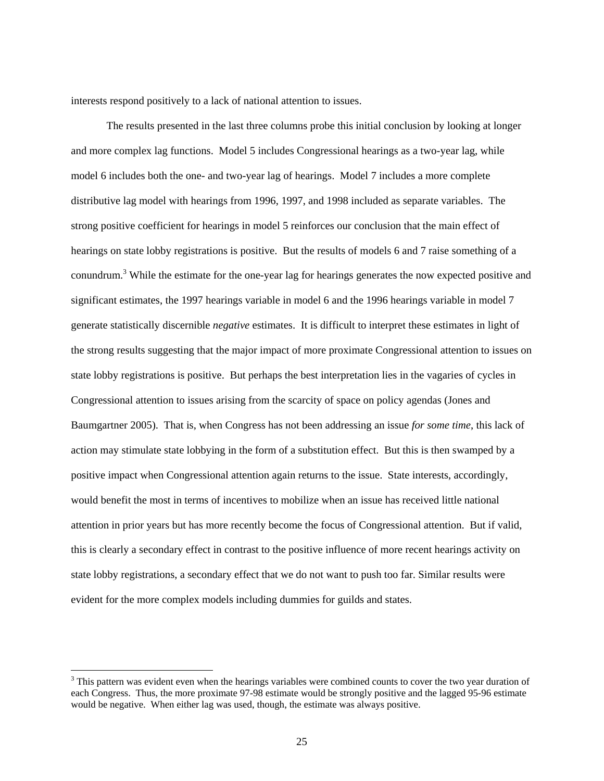interests respond positively to a lack of national attention to issues.

The results presented in the last three columns probe this initial conclusion by looking at longer and more complex lag functions. Model 5 includes Congressional hearings as a two-year lag, while model 6 includes both the one- and two-year lag of hearings. Model 7 includes a more complete distributive lag model with hearings from 1996, 1997, and 1998 included as separate variables. The strong positive coefficient for hearings in model 5 reinforces our conclusion that the main effect of hearings on state lobby registrations is positive. But the results of models 6 and 7 raise something of a conundrum.<sup>3</sup> While the estimate for the one-year lag for hearings generates the now expected positive and significant estimates, the 1997 hearings variable in model 6 and the 1996 hearings variable in model 7 generate statistically discernible *negative* estimates. It is difficult to interpret these estimates in light of the strong results suggesting that the major impact of more proximate Congressional attention to issues on state lobby registrations is positive. But perhaps the best interpretation lies in the vagaries of cycles in Congressional attention to issues arising from the scarcity of space on policy agendas (Jones and Baumgartner 2005). That is, when Congress has not been addressing an issue *for some time*, this lack of action may stimulate state lobbying in the form of a substitution effect. But this is then swamped by a positive impact when Congressional attention again returns to the issue. State interests, accordingly, would benefit the most in terms of incentives to mobilize when an issue has received little national attention in prior years but has more recently become the focus of Congressional attention. But if valid, this is clearly a secondary effect in contrast to the positive influence of more recent hearings activity on state lobby registrations, a secondary effect that we do not want to push too far. Similar results were evident for the more complex models including dummies for guilds and states.

 $3$  This pattern was evident even when the hearings variables were combined counts to cover the two year duration of each Congress. Thus, the more proximate 97-98 estimate would be strongly positive and the lagged 95-96 estimate would be negative. When either lag was used, though, the estimate was always positive.